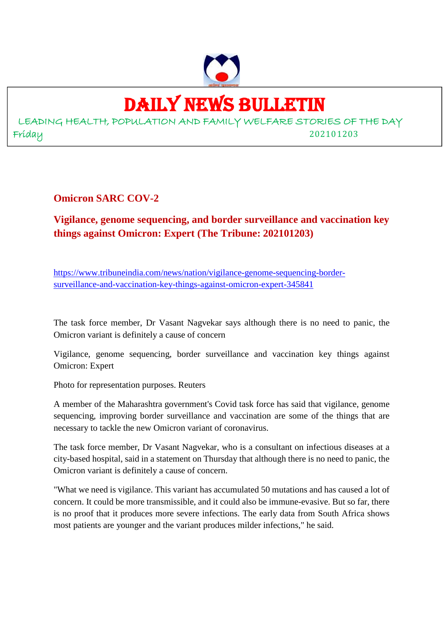

# DAILY NEWS BULLETIN

LEADING HEALTH, POPULATION AND FAMILY WELFARE STORIES OF THE DAY Friday 202101203

**Omicron SARC COV-2**

# **Vigilance, genome sequencing, and border surveillance and vaccination key things against Omicron: Expert (The Tribune: 202101203)**

https://www.tribuneindia.com/news/nation/vigilance-genome-sequencing-bordersurveillance-and-vaccination-key-things-against-omicron-expert-345841

The task force member, Dr Vasant Nagvekar says although there is no need to panic, the Omicron variant is definitely a cause of concern

Vigilance, genome sequencing, border surveillance and vaccination key things against Omicron: Expert

Photo for representation purposes. Reuters

A member of the Maharashtra government's Covid task force has said that vigilance, genome sequencing, improving border surveillance and vaccination are some of the things that are necessary to tackle the new Omicron variant of coronavirus.

The task force member, Dr Vasant Nagvekar, who is a consultant on infectious diseases at a city-based hospital, said in a statement on Thursday that although there is no need to panic, the Omicron variant is definitely a cause of concern.

"What we need is vigilance. This variant has accumulated 50 mutations and has caused a lot of concern. It could be more transmissible, and it could also be immune-evasive. But so far, there is no proof that it produces more severe infections. The early data from South Africa shows most patients are younger and the variant produces milder infections," he said.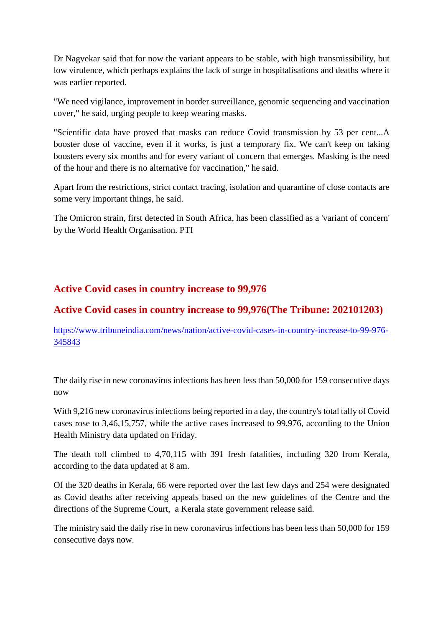Dr Nagvekar said that for now the variant appears to be stable, with high transmissibility, but low virulence, which perhaps explains the lack of surge in hospitalisations and deaths where it was earlier reported.

"We need vigilance, improvement in border surveillance, genomic sequencing and vaccination cover," he said, urging people to keep wearing masks.

"Scientific data have proved that masks can reduce Covid transmission by 53 per cent...A booster dose of vaccine, even if it works, is just a temporary fix. We can't keep on taking boosters every six months and for every variant of concern that emerges. Masking is the need of the hour and there is no alternative for vaccination," he said.

Apart from the restrictions, strict contact tracing, isolation and quarantine of close contacts are some very important things, he said.

The Omicron strain, first detected in South Africa, has been classified as a 'variant of concern' by the World Health Organisation. PTI

# **Active Covid cases in country increase to 99,976**

# **Active Covid cases in country increase to 99,976(The Tribune: 202101203)**

https://www.tribuneindia.com/news/nation/active-covid-cases-in-country-increase-to-99-976- 345843

The daily rise in new coronavirus infections has been less than 50,000 for 159 consecutive days now

With 9,216 new coronavirus infections being reported in a day, the country's total tally of Covid cases rose to 3,46,15,757, while the active cases increased to 99,976, according to the Union Health Ministry data updated on Friday.

The death toll climbed to 4,70,115 with 391 fresh fatalities, including 320 from Kerala, according to the data updated at 8 am.

Of the 320 deaths in Kerala, 66 were reported over the last few days and 254 were designated as Covid deaths after receiving appeals based on the new guidelines of the Centre and the directions of the Supreme Court, a Kerala state government release said.

The ministry said the daily rise in new coronavirus infections has been less than 50,000 for 159 consecutive days now.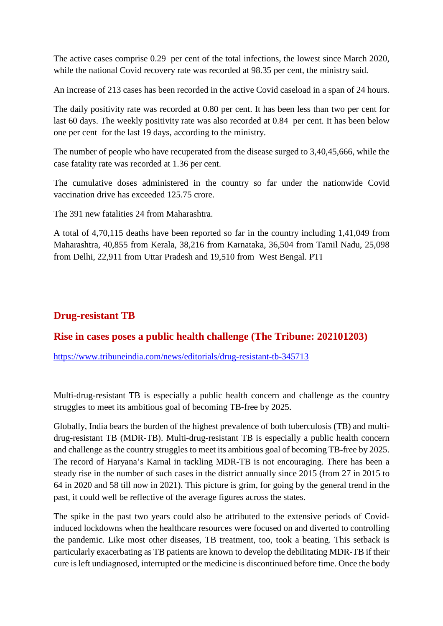The active cases comprise 0.29 per cent of the total infections, the lowest since March 2020, while the national Covid recovery rate was recorded at 98.35 per cent, the ministry said.

An increase of 213 cases has been recorded in the active Covid caseload in a span of 24 hours.

The daily positivity rate was recorded at 0.80 per cent. It has been less than two per cent for last 60 days. The weekly positivity rate was also recorded at 0.84 per cent. It has been below one per cent for the last 19 days, according to the ministry.

The number of people who have recuperated from the disease surged to 3,40,45,666, while the case fatality rate was recorded at 1.36 per cent.

The cumulative doses administered in the country so far under the nationwide Covid vaccination drive has exceeded 125.75 crore.

The 391 new fatalities 24 from Maharashtra.

A total of 4,70,115 deaths have been reported so far in the country including 1,41,049 from Maharashtra, 40,855 from Kerala, 38,216 from Karnataka, 36,504 from Tamil Nadu, 25,098 from Delhi, 22,911 from Uttar Pradesh and 19,510 from West Bengal. PTI

# **Drug-resistant TB**

### **Rise in cases poses a public health challenge (The Tribune: 202101203)**

https://www.tribuneindia.com/news/editorials/drug-resistant-tb-345713

Multi-drug-resistant TB is especially a public health concern and challenge as the country struggles to meet its ambitious goal of becoming TB-free by 2025.

Globally, India bears the burden of the highest prevalence of both tuberculosis (TB) and multidrug-resistant TB (MDR-TB). Multi-drug-resistant TB is especially a public health concern and challenge as the country struggles to meet its ambitious goal of becoming TB-free by 2025. The record of Haryana's Karnal in tackling MDR-TB is not encouraging. There has been a steady rise in the number of such cases in the district annually since 2015 (from 27 in 2015 to 64 in 2020 and 58 till now in 2021). This picture is grim, for going by the general trend in the past, it could well be reflective of the average figures across the states.

The spike in the past two years could also be attributed to the extensive periods of Covidinduced lockdowns when the healthcare resources were focused on and diverted to controlling the pandemic. Like most other diseases, TB treatment, too, took a beating. This setback is particularly exacerbating as TB patients are known to develop the debilitating MDR-TB if their cure is left undiagnosed, interrupted or the medicine is discontinued before time. Once the body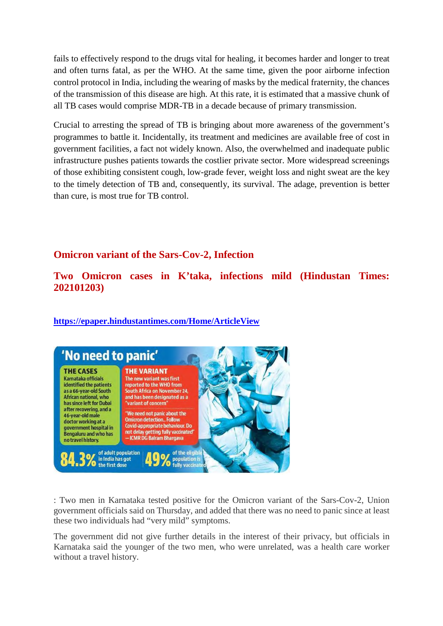fails to effectively respond to the drugs vital for healing, it becomes harder and longer to treat and often turns fatal, as per the WHO. At the same time, given the poor airborne infection control protocol in India, including the wearing of masks by the medical fraternity, the chances of the transmission of this disease are high. At this rate, it is estimated that a massive chunk of all TB cases would comprise MDR-TB in a decade because of primary transmission.

Crucial to arresting the spread of TB is bringing about more awareness of the government's programmes to battle it. Incidentally, its treatment and medicines are available free of cost in government facilities, a fact not widely known. Also, the overwhelmed and inadequate public infrastructure pushes patients towards the costlier private sector. More widespread screenings of those exhibiting consistent cough, low-grade fever, weight loss and night sweat are the key to the timely detection of TB and, consequently, its survival. The adage, prevention is better than cure, is most true for TB control.

# **Omicron variant of the Sars-Cov-2, Infection**

# **Two Omicron cases in K'taka, infections mild (Hindustan Times: 202101203)**

**https://epaper.hindustantimes.com/Home/ArticleView**



: Two men in Karnataka tested positive for the Omicron variant of the Sars-Cov-2, Union government officials said on Thursday, and added that there was no need to panic since at least these two individuals had "very mild" symptoms.

The government did not give further details in the interest of their privacy, but officials in Karnataka said the younger of the two men, who were unrelated, was a health care worker without a travel history.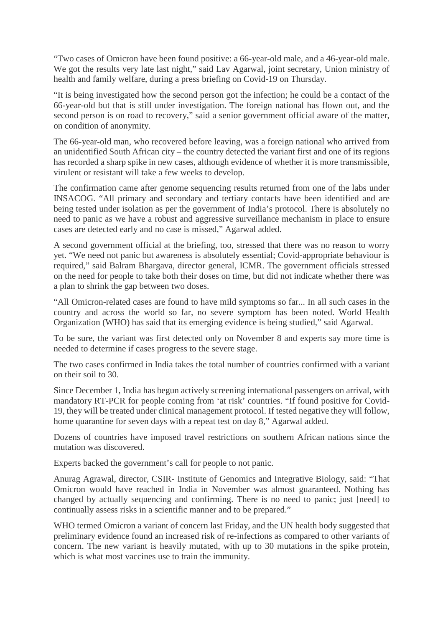"Two cases of Omicron have been found positive: a 66-year-old male, and a 46-year-old male. We got the results very late last night," said Lav Agarwal, joint secretary, Union ministry of health and family welfare, during a press briefing on Covid-19 on Thursday.

"It is being investigated how the second person got the infection; he could be a contact of the 66-year-old but that is still under investigation. The foreign national has flown out, and the second person is on road to recovery," said a senior government official aware of the matter, on condition of anonymity.

The 66-year-old man, who recovered before leaving, was a foreign national who arrived from an unidentified South African city – the country detected the variant first and one of its regions has recorded a sharp spike in new cases, although evidence of whether it is more transmissible, virulent or resistant will take a few weeks to develop.

The confirmation came after genome sequencing results returned from one of the labs under INSACOG. "All primary and secondary and tertiary contacts have been identified and are being tested under isolation as per the government of India's protocol. There is absolutely no need to panic as we have a robust and aggressive surveillance mechanism in place to ensure cases are detected early and no case is missed," Agarwal added.

A second government official at the briefing, too, stressed that there was no reason to worry yet. "We need not panic but awareness is absolutely essential; Covid-appropriate behaviour is required," said Balram Bhargava, director general, ICMR. The government officials stressed on the need for people to take both their doses on time, but did not indicate whether there was a plan to shrink the gap between two doses.

"All Omicron-related cases are found to have mild symptoms so far... In all such cases in the country and across the world so far, no severe symptom has been noted. World Health Organization (WHO) has said that its emerging evidence is being studied," said Agarwal.

To be sure, the variant was first detected only on November 8 and experts say more time is needed to determine if cases progress to the severe stage.

The two cases confirmed in India takes the total number of countries confirmed with a variant on their soil to 30.

Since December 1, India has begun actively screening international passengers on arrival, with mandatory RT-PCR for people coming from 'at risk' countries. "If found positive for Covid-19, they will be treated under clinical management protocol. If tested negative they will follow, home quarantine for seven days with a repeat test on day 8," Agarwal added.

Dozens of countries have imposed travel restrictions on southern African nations since the mutation was discovered.

Experts backed the government's call for people to not panic.

Anurag Agrawal, director, CSIR- Institute of Genomics and Integrative Biology, said: "That Omicron would have reached in India in November was almost guaranteed. Nothing has changed by actually sequencing and confirming. There is no need to panic; just [need] to continually assess risks in a scientific manner and to be prepared."

WHO termed Omicron a variant of concern last Friday, and the UN health body suggested that preliminary evidence found an increased risk of re-infections as compared to other variants of concern. The new variant is heavily mutated, with up to 30 mutations in the spike protein, which is what most vaccines use to train the immunity.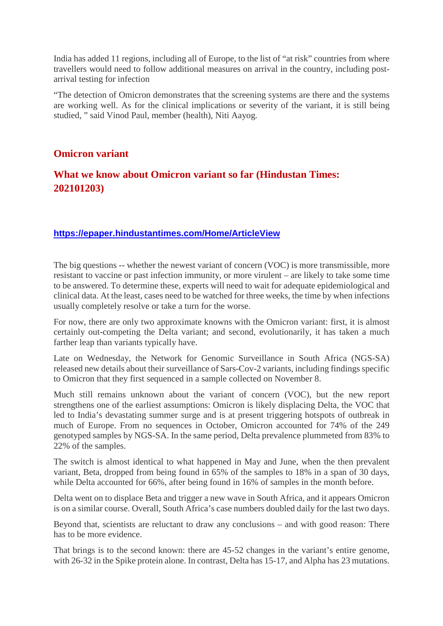India has added 11 regions, including all of Europe, to the list of "at risk" countries from where travellers would need to follow additional measures on arrival in the country, including postarrival testing for infection

"The detection of Omicron demonstrates that the screening systems are there and the systems are working well. As for the clinical implications or severity of the variant, it is still being studied, " said Vinod Paul, member (health), Niti Aayog.

# **Omicron variant**

# **What we know about Omicron variant so far (Hindustan Times: 202101203)**

#### **https://epaper.hindustantimes.com/Home/ArticleView**

The big questions -- whether the newest variant of concern (VOC) is more transmissible, more resistant to vaccine or past infection immunity, or more virulent – are likely to take some time to be answered. To determine these, experts will need to wait for adequate epidemiological and clinical data. At the least, cases need to be watched for three weeks, the time by when infections usually completely resolve or take a turn for the worse.

For now, there are only two approximate knowns with the Omicron variant: first, it is almost certainly out-competing the Delta variant; and second, evolutionarily, it has taken a much farther leap than variants typically have.

Late on Wednesday, the Network for Genomic Surveillance in South Africa (NGS-SA) released new details about their surveillance of Sars-Cov-2 variants, including findings specific to Omicron that they first sequenced in a sample collected on November 8.

Much still remains unknown about the variant of concern (VOC), but the new report strengthens one of the earliest assumptions: Omicron is likely displacing Delta, the VOC that led to India's devastating summer surge and is at present triggering hotspots of outbreak in much of Europe. From no sequences in October, Omicron accounted for 74% of the 249 genotyped samples by NGS-SA. In the same period, Delta prevalence plummeted from 83% to 22% of the samples.

The switch is almost identical to what happened in May and June, when the then prevalent variant, Beta, dropped from being found in 65% of the samples to 18% in a span of 30 days, while Delta accounted for 66%, after being found in 16% of samples in the month before.

Delta went on to displace Beta and trigger a new wave in South Africa, and it appears Omicron is on a similar course. Overall, South Africa's case numbers doubled daily for the last two days.

Beyond that, scientists are reluctant to draw any conclusions – and with good reason: There has to be more evidence.

That brings is to the second known: there are 45-52 changes in the variant's entire genome, with 26-32 in the Spike protein alone. In contrast, Delta has 15-17, and Alpha has 23 mutations.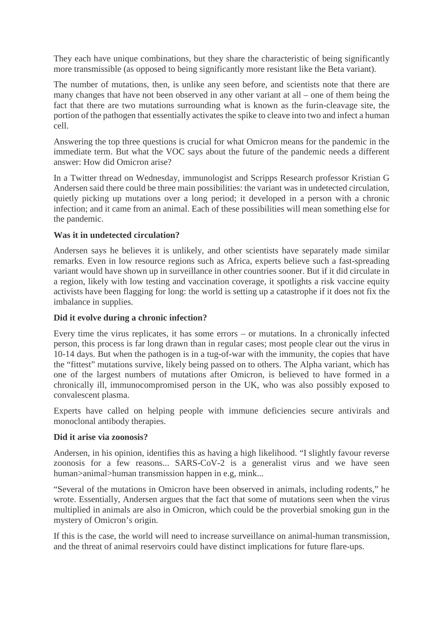They each have unique combinations, but they share the characteristic of being significantly more transmissible (as opposed to being significantly more resistant like the Beta variant).

The number of mutations, then, is unlike any seen before, and scientists note that there are many changes that have not been observed in any other variant at all – one of them being the fact that there are two mutations surrounding what is known as the furin-cleavage site, the portion of the pathogen that essentially activates the spike to cleave into two and infect a human cell.

Answering the top three questions is crucial for what Omicron means for the pandemic in the immediate term. But what the VOC says about the future of the pandemic needs a different answer: How did Omicron arise?

In a Twitter thread on Wednesday, immunologist and Scripps Research professor Kristian G Andersen said there could be three main possibilities: the variant was in undetected circulation, quietly picking up mutations over a long period; it developed in a person with a chronic infection; and it came from an animal. Each of these possibilities will mean something else for the pandemic.

#### **Was it in undetected circulation?**

Andersen says he believes it is unlikely, and other scientists have separately made similar remarks. Even in low resource regions such as Africa, experts believe such a fast-spreading variant would have shown up in surveillance in other countries sooner. But if it did circulate in a region, likely with low testing and vaccination coverage, it spotlights a risk vaccine equity activists have been flagging for long: the world is setting up a catastrophe if it does not fix the imbalance in supplies.

#### **Did it evolve during a chronic infection?**

Every time the virus replicates, it has some errors – or mutations. In a chronically infected person, this process is far long drawn than in regular cases; most people clear out the virus in 10-14 days. But when the pathogen is in a tug-of-war with the immunity, the copies that have the "fittest" mutations survive, likely being passed on to others. The Alpha variant, which has one of the largest numbers of mutations after Omicron, is believed to have formed in a chronically ill, immunocompromised person in the UK, who was also possibly exposed to convalescent plasma.

Experts have called on helping people with immune deficiencies secure antivirals and monoclonal antibody therapies.

#### **Did it arise via zoonosis?**

Andersen, in his opinion, identifies this as having a high likelihood. "I slightly favour reverse zoonosis for a few reasons... SARS-CoV-2 is a generalist virus and we have seen human>animal>human transmission happen in e.g, mink...

"Several of the mutations in Omicron have been observed in animals, including rodents," he wrote. Essentially, Andersen argues that the fact that some of mutations seen when the virus multiplied in animals are also in Omicron, which could be the proverbial smoking gun in the mystery of Omicron's origin.

If this is the case, the world will need to increase surveillance on animal-human transmission, and the threat of animal reservoirs could have distinct implications for future flare-ups.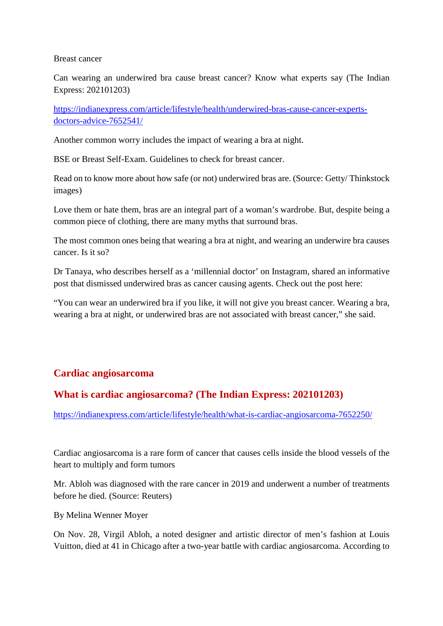#### Breast cancer

Can wearing an underwired bra cause breast cancer? Know what experts say (The Indian Express: 202101203)

https://indianexpress.com/article/lifestyle/health/underwired-bras-cause-cancer-expertsdoctors-advice-7652541/

Another common worry includes the impact of wearing a bra at night.

BSE or Breast Self-Exam. Guidelines to check for breast cancer.

Read on to know more about how safe (or not) underwired bras are. (Source: Getty/ Thinkstock images)

Love them or hate them, bras are an integral part of a woman's wardrobe. But, despite being a common piece of clothing, there are many myths that surround bras.

The most common ones being that wearing a bra at night, and wearing an underwire bra causes cancer. Is it so?

Dr Tanaya, who describes herself as a 'millennial doctor' on Instagram, shared an informative post that dismissed underwired bras as cancer causing agents. Check out the post here:

"You can wear an underwired bra if you like, it will not give you breast cancer. Wearing a bra, wearing a bra at night, or underwired bras are not associated with breast cancer," she said.

# **Cardiac angiosarcoma**

# **What is cardiac angiosarcoma? (The Indian Express: 202101203)**

https://indianexpress.com/article/lifestyle/health/what-is-cardiac-angiosarcoma-7652250/

Cardiac angiosarcoma is a rare form of cancer that causes cells inside the blood vessels of the heart to multiply and form tumors

Mr. Abloh was diagnosed with the rare cancer in 2019 and underwent a number of treatments before he died. (Source: Reuters)

By Melina Wenner Moyer

On Nov. 28, Virgil Abloh, a noted designer and artistic director of men's fashion at Louis Vuitton, died at 41 in Chicago after a two-year battle with cardiac angiosarcoma. According to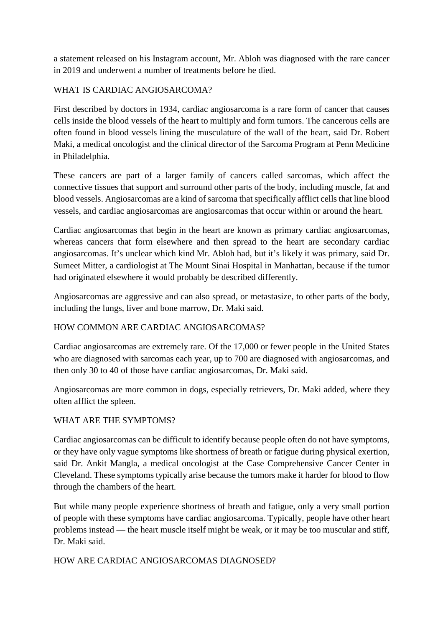a statement released on his Instagram account, Mr. Abloh was diagnosed with the rare cancer in 2019 and underwent a number of treatments before he died.

#### WHAT IS CARDIAC ANGIOSARCOMA?

First described by doctors in 1934, cardiac angiosarcoma is a rare form of cancer that causes cells inside the blood vessels of the heart to multiply and form tumors. The cancerous cells are often found in blood vessels lining the musculature of the wall of the heart, said Dr. Robert Maki, a medical oncologist and the clinical director of the Sarcoma Program at Penn Medicine in Philadelphia.

These cancers are part of a larger family of cancers called sarcomas, which affect the connective tissues that support and surround other parts of the body, including muscle, fat and blood vessels. Angiosarcomas are a kind of sarcoma that specifically afflict cells that line blood vessels, and cardiac angiosarcomas are angiosarcomas that occur within or around the heart.

Cardiac angiosarcomas that begin in the heart are known as primary cardiac angiosarcomas, whereas cancers that form elsewhere and then spread to the heart are secondary cardiac angiosarcomas. It's unclear which kind Mr. Abloh had, but it's likely it was primary, said Dr. Sumeet Mitter, a cardiologist at The Mount Sinai Hospital in Manhattan, because if the tumor had originated elsewhere it would probably be described differently.

Angiosarcomas are aggressive and can also spread, or metastasize, to other parts of the body, including the lungs, liver and bone marrow, Dr. Maki said.

#### HOW COMMON ARE CARDIAC ANGIOSARCOMAS?

Cardiac angiosarcomas are extremely rare. Of the 17,000 or fewer people in the United States who are diagnosed with sarcomas each year, up to 700 are diagnosed with angiosarcomas, and then only 30 to 40 of those have cardiac angiosarcomas, Dr. Maki said.

Angiosarcomas are more common in dogs, especially retrievers, Dr. Maki added, where they often afflict the spleen.

#### WHAT ARE THE SYMPTOMS?

Cardiac angiosarcomas can be difficult to identify because people often do not have symptoms, or they have only vague symptoms like shortness of breath or fatigue during physical exertion, said Dr. Ankit Mangla, a medical oncologist at the Case Comprehensive Cancer Center in Cleveland. These symptoms typically arise because the tumors make it harder for blood to flow through the chambers of the heart.

But while many people experience shortness of breath and fatigue, only a very small portion of people with these symptoms have cardiac angiosarcoma. Typically, people have other heart problems instead — the heart muscle itself might be weak, or it may be too muscular and stiff, Dr. Maki said.

#### HOW ARE CARDIAC ANGIOSARCOMAS DIAGNOSED?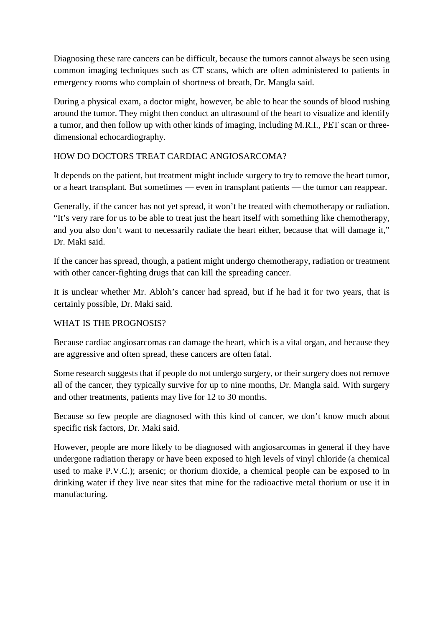Diagnosing these rare cancers can be difficult, because the tumors cannot always be seen using common imaging techniques such as CT scans, which are often administered to patients in emergency rooms who complain of shortness of breath, Dr. Mangla said.

During a physical exam, a doctor might, however, be able to hear the sounds of blood rushing around the tumor. They might then conduct an ultrasound of the heart to visualize and identify a tumor, and then follow up with other kinds of imaging, including M.R.I., PET scan or threedimensional echocardiography.

### HOW DO DOCTORS TREAT CARDIAC ANGIOSARCOMA?

It depends on the patient, but treatment might include surgery to try to remove the heart tumor, or a heart transplant. But sometimes — even in transplant patients — the tumor can reappear.

Generally, if the cancer has not yet spread, it won't be treated with chemotherapy or radiation. "It's very rare for us to be able to treat just the heart itself with something like chemotherapy, and you also don't want to necessarily radiate the heart either, because that will damage it," Dr. Maki said.

If the cancer has spread, though, a patient might undergo chemotherapy, radiation or treatment with other cancer-fighting drugs that can kill the spreading cancer.

It is unclear whether Mr. Abloh's cancer had spread, but if he had it for two years, that is certainly possible, Dr. Maki said.

#### WHAT IS THE PROGNOSIS?

Because cardiac angiosarcomas can damage the heart, which is a vital organ, and because they are aggressive and often spread, these cancers are often fatal.

Some research suggests that if people do not undergo surgery, or their surgery does not remove all of the cancer, they typically survive for up to nine months, Dr. Mangla said. With surgery and other treatments, patients may live for 12 to 30 months.

Because so few people are diagnosed with this kind of cancer, we don't know much about specific risk factors, Dr. Maki said.

However, people are more likely to be diagnosed with angiosarcomas in general if they have undergone radiation therapy or have been exposed to high levels of vinyl chloride (a chemical used to make P.V.C.); arsenic; or thorium dioxide, a chemical people can be exposed to in drinking water if they live near sites that mine for the radioactive metal thorium or use it in manufacturing.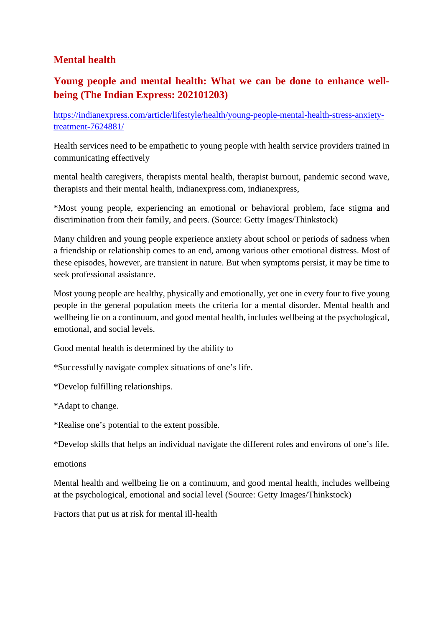# **Mental health**

# **Young people and mental health: What we can be done to enhance wellbeing (The Indian Express: 202101203)**

https://indianexpress.com/article/lifestyle/health/young-people-mental-health-stress-anxietytreatment-7624881/

Health services need to be empathetic to young people with health service providers trained in communicating effectively

mental health caregivers, therapists mental health, therapist burnout, pandemic second wave, therapists and their mental health, indianexpress.com, indianexpress,

\*Most young people, experiencing an emotional or behavioral problem, face stigma and discrimination from their family, and peers. (Source: Getty Images/Thinkstock)

Many children and young people experience anxiety about school or periods of sadness when a friendship or relationship comes to an end, among various other emotional distress. Most of these episodes, however, are transient in nature. But when symptoms persist, it may be time to seek professional assistance.

Most young people are healthy, physically and emotionally, yet one in every four to five young people in the general population meets the criteria for a mental disorder. Mental health and wellbeing lie on a continuum, and good mental health, includes wellbeing at the psychological, emotional, and social levels.

Good mental health is determined by the ability to

\*Successfully navigate complex situations of one's life.

\*Develop fulfilling relationships.

\*Adapt to change.

\*Realise one's potential to the extent possible.

\*Develop skills that helps an individual navigate the different roles and environs of one's life.

emotions

Mental health and wellbeing lie on a continuum, and good mental health, includes wellbeing at the psychological, emotional and social level (Source: Getty Images/Thinkstock)

Factors that put us at risk for mental ill-health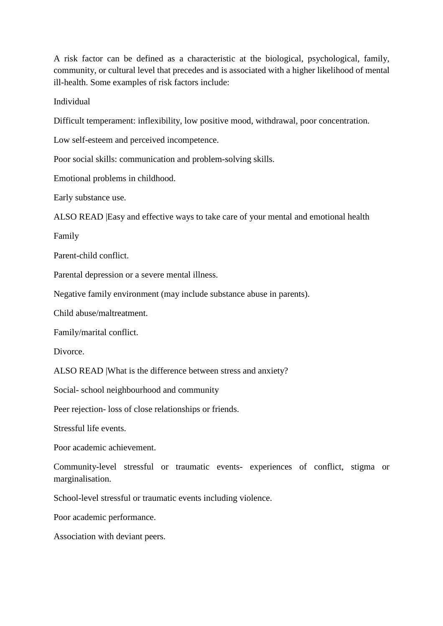A risk factor can be defined as a characteristic at the biological, psychological, family, community, or cultural level that precedes and is associated with a higher likelihood of mental ill-health. Some examples of risk factors include:

Individual

Difficult temperament: inflexibility, low positive mood, withdrawal, poor concentration.

Low self-esteem and perceived incompetence.

Poor social skills: communication and problem-solving skills.

Emotional problems in childhood.

Early substance use.

ALSO READ |Easy and effective ways to take care of your mental and emotional health

Family

Parent-child conflict.

Parental depression or a severe mental illness.

Negative family environment (may include substance abuse in parents).

Child abuse/maltreatment.

Family/marital conflict.

Divorce.

ALSO READ |What is the difference between stress and anxiety?

Social- school neighbourhood and community

Peer rejection- loss of close relationships or friends.

Stressful life events.

Poor academic achievement.

Community-level stressful or traumatic events- experiences of conflict, stigma or marginalisation.

School-level stressful or traumatic events including violence.

Poor academic performance.

Association with deviant peers.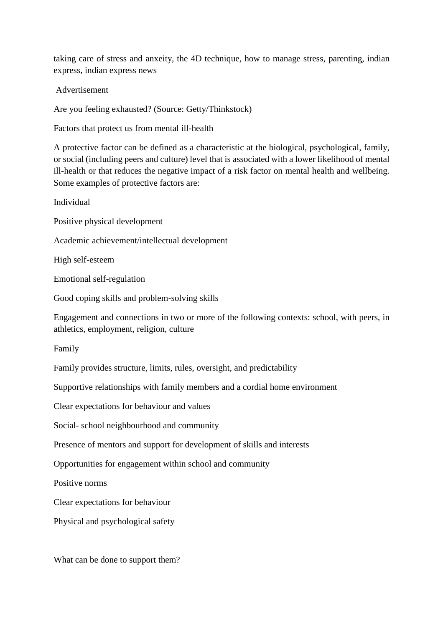taking care of stress and anxeity, the 4D technique, how to manage stress, parenting, indian express, indian express news

Advertisement

Are you feeling exhausted? (Source: Getty/Thinkstock)

Factors that protect us from mental ill-health

A protective factor can be defined as a characteristic at the biological, psychological, family, or social (including peers and culture) level that is associated with a lower likelihood of mental ill-health or that reduces the negative impact of a risk factor on mental health and wellbeing. Some examples of protective factors are:

Individual

Positive physical development

Academic achievement/intellectual development

High self-esteem

Emotional self-regulation

Good coping skills and problem-solving skills

Engagement and connections in two or more of the following contexts: school, with peers, in athletics, employment, religion, culture

Family

Family provides structure, limits, rules, oversight, and predictability

Supportive relationships with family members and a cordial home environment

Clear expectations for behaviour and values

Social- school neighbourhood and community

Presence of mentors and support for development of skills and interests

Opportunities for engagement within school and community

Positive norms

Clear expectations for behaviour

Physical and psychological safety

What can be done to support them?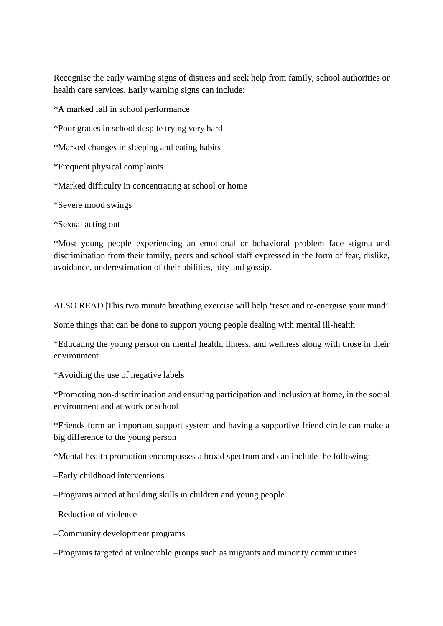Recognise the early warning signs of distress and seek help from family, school authorities or health care services. Early warning signs can include:

\*A marked fall in school performance

\*Poor grades in school despite trying very hard

\*Marked changes in sleeping and eating habits

\*Frequent physical complaints

\*Marked difficulty in concentrating at school or home

\*Severe mood swings

\*Sexual acting out

\*Most young people experiencing an emotional or behavioral problem face stigma and discrimination from their family, peers and school staff expressed in the form of fear, dislike, avoidance, underestimation of their abilities, pity and gossip.

ALSO READ |This two minute breathing exercise will help 'reset and re-energise your mind'

Some things that can be done to support young people dealing with mental ill-health

\*Educating the young person on mental health, illness, and wellness along with those in their environment

\*Avoiding the use of negative labels

\*Promoting non-discrimination and ensuring participation and inclusion at home, in the social environment and at work or school

\*Friends form an important support system and having a supportive friend circle can make a big difference to the young person

\*Mental health promotion encompasses a broad spectrum and can include the following:

–Early childhood interventions

–Programs aimed at building skills in children and young people

–Reduction of violence

–Community development programs

–Programs targeted at vulnerable groups such as migrants and minority communities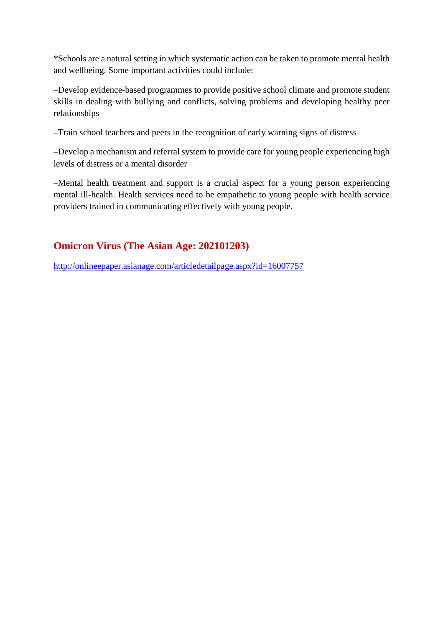\*Schools are a natural setting in which systematic action can be taken to promote mental health and wellbeing. Some important activities could include:

–Develop evidence-based programmes to provide positive school climate and promote student skills in dealing with bullying and conflicts, solving problems and developing healthy peer relationships

–Train school teachers and peers in the recognition of early warning signs of distress

–Develop a mechanism and referral system to provide care for young people experiencing high levels of distress or a mental disorder

–Mental health treatment and support is a crucial aspect for a young person experiencing mental ill-health. Health services need to be empathetic to young people with health service providers trained in communicating effectively with young people.

# **Omicron Virus (The Asian Age: 202101203)**

http://onlineepaper.asianage.com/articledetailpage.aspx?id=16007757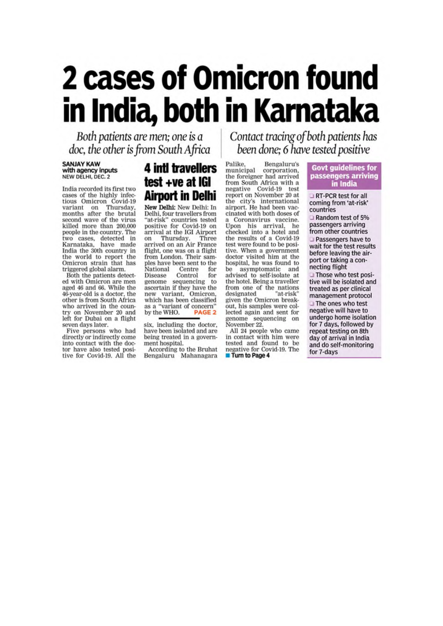# 2 cases of Omicron found in India, both in Karnataka

Both patients are men; one is a doc, the other is from South Africa

#### **SANJAY KAW** with agency inputs NEW DELHI, DEC. 2

India recorded its first two cases of the highly infectious Omicron Covid-19<br>variant on Thursday, variant on Thursday,<br>months after the brutal second wave of the virus killed more than 200,000 people in the country. The two cases, detected in<br>Karnataka, have made India the 30th country in the world to report the Omicron strain that has triggered global alarm.

Both the patients detected with Omicron are men aged 46 and 66. While the 46-year-old is a doctor, the other is from South Africa who arrived in the country on November 20 and left for Dubai on a flight

seven days later.<br>Five persons who had<br>directly or indirectly come into contact with the doctor have also tested positive for Covid-19. All the

# **4 intl travellers** test +ve at IGI **Airport in Delhi** New Delhi: New Delhi: In

Delhi, four travellers from 'at-risk" countries tested positive for Covid-19 on arrival at the IGI Airport on Thursday. Three arrived on an Air France flight, one was on a flight from London. Their samples have been sent to the National Centre for Disease Control for sequencing to genome ascertain if they have the new variant, Omicron, which has been classified as a "variant of concern" by the WHO. **PAGE 2** 

six, including the doctor, have been isolated and are being treated in a government hospital.

According to the Bruhat Bengaluru Mahanagara Contact tracing of both patients has been done; 6 have tested positive

Palike, Bengaluru's municipal corporation, the foreigner had arrived from South Africa with a negative Covid-19 test<br>report on November 20 at the city's international<br>airport. He had been vaccinated with both doses of a Coronavirus vaccine. Upon his arrival, he checked into a hotel and the results of a Covid-19 test were found to be positive. When a government doctor visited him at the hospital, he was found to be asymptomatic and advised to self-isolate at the hotel. Being a traveller from one of the nations<br>designated "at-risk" given the Omicron breakout, his samples were collected again and sent for genome sequencing on November 22

All 24 people who came in contact with him were tested and found to be negative for Covid-19. The Turn to Page 4

#### **Govt guidelines for** passengers arriving in India

RT-PCR test for all coming from 'at-risk' countries

Random test of 5% passengers arriving from other countries Passengers have to wait for the test results before leaving the airport or taking a connecting flight

Those who test positive will be isolated and treated as per clinical management protocol

The ones who test negative will have to undergo home isolation for 7 days, followed by repeat testing on 8th day of arrival in India and do self-monitoring for 7-days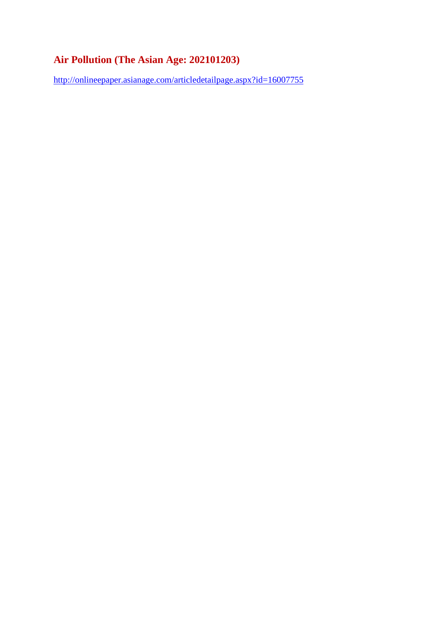# **Air Pollution (The Asian Age: 202101203)**

http://onlineepaper.asianage.com/articledetailpage.aspx?id=16007755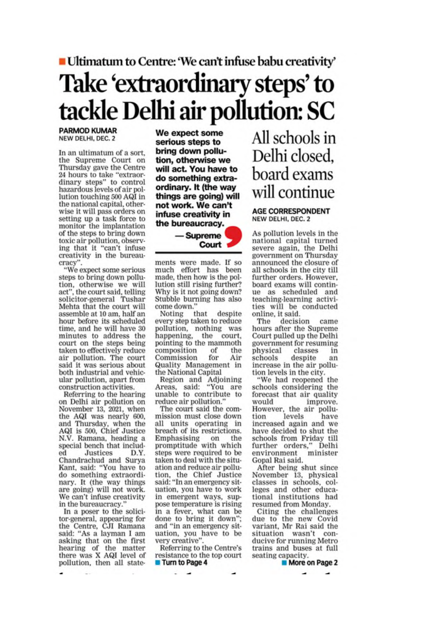■ Ultimatum to Centre: 'We can't infuse babu creativity'

# Take 'extraordinary steps' to tackle Delhi air pollution: SC

**PARMOD KUMAR** NEW DELHI, DEC. 2

In an ultimatum of a sort. the Supreme Court on Thursday gave the Centre 24 hours to take "extraordinary steps" to control hazardous levels of air pollution touching 500 AQI in the national capital, otherwise it will pass orders on setting up a task force to monitor the implantation of the steps to bring down toxic air pollution, observing that it "can't infuse creativity in the bureaucracy".

"We expect some serious steps to bring down pollution, otherwise we will act", the court said, telling solicitor-general Tushar Mehta that the court will assemble at 10 am, half an hour before its scheduled time, and he will have 30 minutes to address the court on the steps being taken to effectively reduce<br>air pollution. The court said it was serious about both industrial and vehicular pollution, apart from construction activities.

Referring to the hearing on Delhi air pollution on November 13, 2021, when<br>the AQI was nearly 600, and Thursday, when the AQI is 500, Chief Justice N.V. Ramana, heading a special bench that included Justices D.Y. Chandrachud and Surya Kant, said: "You have to do something extraordinary. It (the way things are going) will not work. We can't infuse creativity in the bureaucracy.

In a poser to the solicitor-general, appearing for the Centre, CJI Ramana said: "As a layman I am asking that on the first hearing of the matter there was X AQI level of pollution, then all stateWe expect some serious steps to bring down pollution, otherwise we will act. You have to do something extraordinary. It (the way things are going) will not work. We can't infuse creativity in the bureaucracy.



ments were made. If so much effort has been made, then how is the pollution still rising further? Why is it not going down? Stubble burning has also come down.'

Noting that despite every step taken to reduce pollution, nothing was court, happening, the pointing to the mammoth composition of the for Commission Air Quality Management in the National Capital

Region and Adjoining<br>Areas, said: "You are unable to contribute to reduce air pollution.

The court said the commission must close down all units operating in breach of its restrictions. Emphasising on the promptitude with which steps were required to be taken to deal with the situation and reduce air pollution, the Chief Justice said: "In an emergency situation, you have to work in emergent ways, suppose temperature is rising in a fever, what can be done to bring it down"; and "in an emergency situation, you have to be very creative"

Referring to the Centre's resistance to the top court **Turn to Page 4** 

# All schools in Delhi closed, board exams will continue

#### **AGE CORRESPONDENT** NEW DELHI, DEC. 2

As pollution levels in the national capital turned severe again, the Delhi government on Thursday announced the closure of all schools in the city till further orders. However, board exams will continue as scheduled and teaching-learning activities will be conducted online, it said.

decision The came hours after the Supreme Court pulled up the Delhi government for resuming physical classes in despite schools an increase in the air pollution levels in the city.

"We had reopened the schools considering the forecast that air quality would improve. However, the air pollulevels tion have increased again and we have decided to shut the schools from Friday till further orders," Delhi minister environment Gopal Rai said.

After being shut since<br>November 13, physical classes in schools, colleges and other educational institutions had resumed from Monday.

Citing the challenges due to the new Covid variant. Mr Rai said the situation wasn't conducive for running Metro trains and buses at full seating capacity.

More on Page 2

٠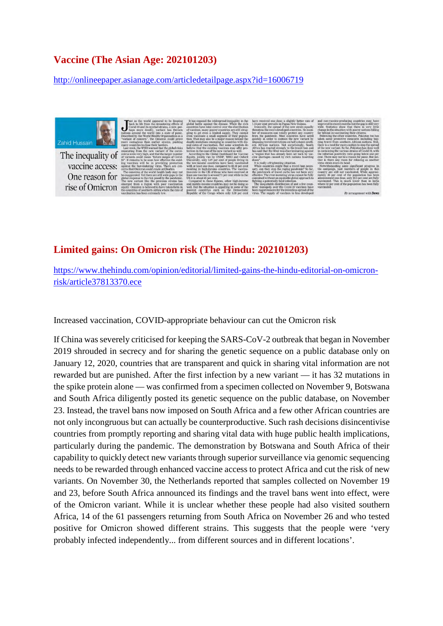# **Vaccine (The Asian Age: 202101203)**

http://onlineepaper.asianage.com/articledetailpage.aspx?id=16006719

Zahid Hussain

The inequality of vaccine access: One reason for rise of Omicron

# **Limited gains: On Omicron risk (The Hindu: 202101203)**

https://www.thehindu.com/opinion/editorial/limited-gains-the-hindu-editorial-on-omicronrisk/article37813370.ece

Increased vaccination, COVID-appropriate behaviour can cut the Omicron risk

If China was severely criticised for keeping the SARS-CoV-2 outbreak that began in November 2019 shrouded in secrecy and for sharing the genetic sequence on a public database only on January 12, 2020, countries that are transparent and quick in sharing vital information are not rewarded but are punished. After the first infection by a new variant — it has 32 mutations in the spike protein alone — was confirmed from a specimen collected on November 9, Botswana and South Africa diligently posted its genetic sequence on the public database, on November 23. Instead, the travel bans now imposed on South Africa and a few other African countries are not only incongruous but can actually be counterproductive. Such rash decisions disincentivise countries from promptly reporting and sharing vital data with huge public health implications, particularly during the pandemic. The demonstration by Botswana and South Africa of their capability to quickly detect new variants through superior surveillance via genomic sequencing needs to be rewarded through enhanced vaccine access to protect Africa and cut the risk of new variants. On November 30, the Netherlands reported that samples collected on November 19 and 23, before South Africa announced its findings and the travel bans went into effect, were of the Omicron variant. While it is unclear whether these people had also visited southern Africa, 14 of the 61 passengers returning from South Africa on November 26 and who tested positive for Omicron showed different strains. This suggests that the people were 'very probably infected independently... from different sources and in different locations'.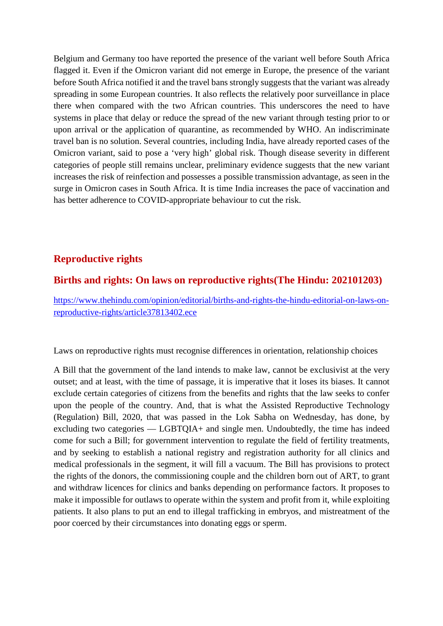Belgium and Germany too have reported the presence of the variant well before South Africa flagged it. Even if the Omicron variant did not emerge in Europe, the presence of the variant before South Africa notified it and the travel bans strongly suggests that the variant was already spreading in some European countries. It also reflects the relatively poor surveillance in place there when compared with the two African countries. This underscores the need to have systems in place that delay or reduce the spread of the new variant through testing prior to or upon arrival or the application of quarantine, as recommended by WHO. An indiscriminate travel ban is no solution. Several countries, including India, have already reported cases of the Omicron variant, said to pose a 'very high' global risk. Though disease severity in different categories of people still remains unclear, preliminary evidence suggests that the new variant increases the risk of reinfection and possesses a possible transmission advantage, as seen in the surge in Omicron cases in South Africa. It is time India increases the pace of vaccination and has better adherence to COVID-appropriate behaviour to cut the risk.

# **Reproductive rights**

### **Births and rights: On laws on reproductive rights(The Hindu: 202101203)**

https://www.thehindu.com/opinion/editorial/births-and-rights-the-hindu-editorial-on-laws-onreproductive-rights/article37813402.ece

Laws on reproductive rights must recognise differences in orientation, relationship choices

A Bill that the government of the land intends to make law, cannot be exclusivist at the very outset; and at least, with the time of passage, it is imperative that it loses its biases. It cannot exclude certain categories of citizens from the benefits and rights that the law seeks to confer upon the people of the country. And, that is what the Assisted Reproductive Technology (Regulation) Bill, 2020, that was passed in the Lok Sabha on Wednesday, has done, by excluding two categories — LGBTQIA+ and single men. Undoubtedly, the time has indeed come for such a Bill; for government intervention to regulate the field of fertility treatments, and by seeking to establish a national registry and registration authority for all clinics and medical professionals in the segment, it will fill a vacuum. The Bill has provisions to protect the rights of the donors, the commissioning couple and the children born out of ART, to grant and withdraw licences for clinics and banks depending on performance factors. It proposes to make it impossible for outlaws to operate within the system and profit from it, while exploiting patients. It also plans to put an end to illegal trafficking in embryos, and mistreatment of the poor coerced by their circumstances into donating eggs or sperm.